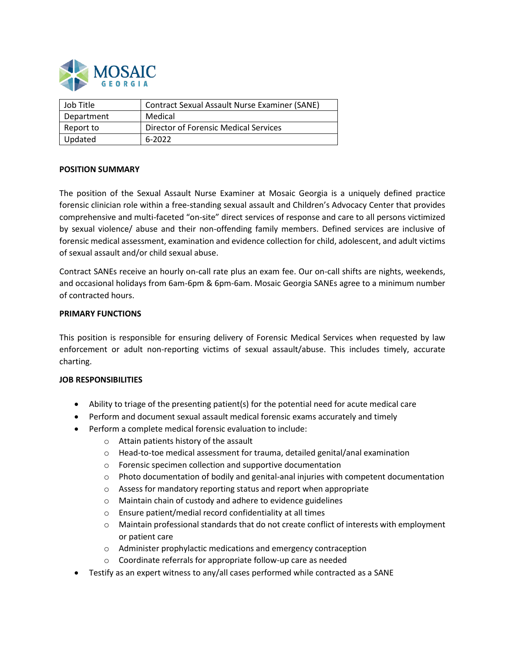

| Job Title  | <b>Contract Sexual Assault Nurse Examiner (SANE)</b> |
|------------|------------------------------------------------------|
| Department | Medical                                              |
| Report to  | Director of Forensic Medical Services                |
| Updated    | 6-2022                                               |

### **POSITION SUMMARY**

The position of the Sexual Assault Nurse Examiner at Mosaic Georgia is a uniquely defined practice forensic clinician role within a free-standing sexual assault and Children's Advocacy Center that provides comprehensive and multi-faceted "on-site" direct services of response and care to all persons victimized by sexual violence/ abuse and their non-offending family members. Defined services are inclusive of forensic medical assessment, examination and evidence collection for child, adolescent, and adult victims of sexual assault and/or child sexual abuse.

Contract SANEs receive an hourly on-call rate plus an exam fee. Our on-call shifts are nights, weekends, and occasional holidays from 6am-6pm & 6pm-6am. Mosaic Georgia SANEs agree to a minimum number of contracted hours.

#### **PRIMARY FUNCTIONS**

This position is responsible for ensuring delivery of Forensic Medical Services when requested by law enforcement or adult non-reporting victims of sexual assault/abuse. This includes timely, accurate charting.

### **JOB RESPONSIBILITIES**

- Ability to triage of the presenting patient(s) for the potential need for acute medical care
- Perform and document sexual assault medical forensic exams accurately and timely
- Perform a complete medical forensic evaluation to include:
	- o Attain patients history of the assault
	- o Head-to-toe medical assessment for trauma, detailed genital/anal examination
	- o Forensic specimen collection and supportive documentation
	- $\circ$  Photo documentation of bodily and genital-anal injuries with competent documentation
	- o Assess for mandatory reporting status and report when appropriate
	- o Maintain chain of custody and adhere to evidence guidelines
	- o Ensure patient/medial record confidentiality at all times
	- $\circ$  Maintain professional standards that do not create conflict of interests with employment or patient care
	- o Administer prophylactic medications and emergency contraception
	- o Coordinate referrals for appropriate follow-up care as needed
- Testify as an expert witness to any/all cases performed while contracted as a SANE